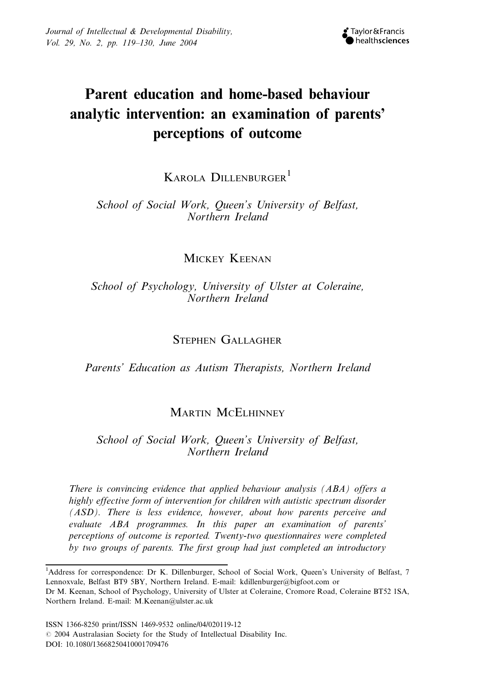

# Parent education and home-based behaviour analytic intervention: an examination of parents' perceptions of outcome

KAROLA DILLENBURGER<sup>1</sup>

School of Social Work, Queen's University of Belfast, Northern Ireland

MICKEY KEENAN

School of Psychology, University of Ulster at Coleraine, Northern Ireland

# STEPHEN GALLAGHER

Parents' Education as Autism Therapists, Northern Ireland

# MARTIN MCELHINNEY

# School of Social Work, Queen's University of Belfast, Northern Ireland

There is convincing evidence that applied behaviour analysis (ABA) offers a highly effective form of intervention for children with autistic spectrum disorder (ASD). There is less evidence, however, about how parents perceive and evaluate ABA programmes. In this paper an examination of parents' perceptions of outcome is reported. Twenty-two questionnaires were completed by two groups of parents. The first group had just completed an introductory

<sup>&</sup>lt;sup>1</sup>Address for correspondence: Dr K. Dillenburger, School of Social Work, Queen's University of Belfast, 7 Lennoxvale, Belfast BT9 5BY, Northern Ireland. E-mail: kdillenburger@bigfoot.com or

Dr M. Keenan, School of Psychology, University of Ulster at Coleraine, Cromore Road, Coleraine BT52 1SA, Northern Ireland. E-mail: M.Keenan@ulster.ac.uk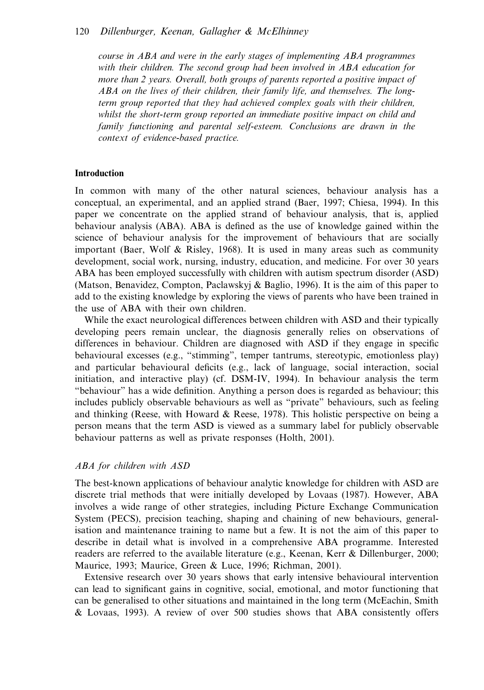course in ABA and were in the early stages of implementing ABA programmes with their children. The second group had been involved in ABA education for more than 2 years. Overall, both groups of parents reported a positive impact of ABA on the lives of their children, their family life, and themselves. The longterm group reported that they had achieved complex goals with their children, whilst the short-term group reported an immediate positive impact on child and family functioning and parental self-esteem. Conclusions are drawn in the context of evidence-based practice.

## Introduction

In common with many of the other natural sciences, behaviour analysis has a conceptual, an experimental, and an applied strand (Baer, 1997; Chiesa, 1994). In this paper we concentrate on the applied strand of behaviour analysis, that is, applied behaviour analysis (ABA). ABA is defined as the use of knowledge gained within the science of behaviour analysis for the improvement of behaviours that are socially important (Baer, Wolf & Risley, 1968). It is used in many areas such as community development, social work, nursing, industry, education, and medicine. For over 30 years ABA has been employed successfully with children with autism spectrum disorder (ASD) (Matson, Benavidez, Compton, Paclawskyj & Baglio, 1996). It is the aim of this paper to add to the existing knowledge by exploring the views of parents who have been trained in the use of ABA with their own children.

While the exact neurological differences between children with ASD and their typically developing peers remain unclear, the diagnosis generally relies on observations of differences in behaviour. Children are diagnosed with ASD if they engage in specific behavioural excesses (e.g., ''stimming'', temper tantrums, stereotypic, emotionless play) and particular behavioural deficits (e.g., lack of language, social interaction, social initiation, and interactive play) (cf. DSM-IV, 1994). In behaviour analysis the term ''behaviour'' has a wide definition. Anything a person does is regarded as behaviour; this includes publicly observable behaviours as well as ''private'' behaviours, such as feeling and thinking (Reese, with Howard & Reese, 1978). This holistic perspective on being a person means that the term ASD is viewed as a summary label for publicly observable behaviour patterns as well as private responses (Holth, 2001).

### ABA for children with ASD

The best-known applications of behaviour analytic knowledge for children with ASD are discrete trial methods that were initially developed by Lovaas (1987). However, ABA involves a wide range of other strategies, including Picture Exchange Communication System (PECS), precision teaching, shaping and chaining of new behaviours, generalisation and maintenance training to name but a few. It is not the aim of this paper to describe in detail what is involved in a comprehensive ABA programme. Interested readers are referred to the available literature (e.g., Keenan, Kerr & Dillenburger, 2000; Maurice, 1993; Maurice, Green & Luce, 1996; Richman, 2001).

Extensive research over 30 years shows that early intensive behavioural intervention can lead to significant gains in cognitive, social, emotional, and motor functioning that can be generalised to other situations and maintained in the long term (McEachin, Smith & Lovaas, 1993). A review of over 500 studies shows that ABA consistently offers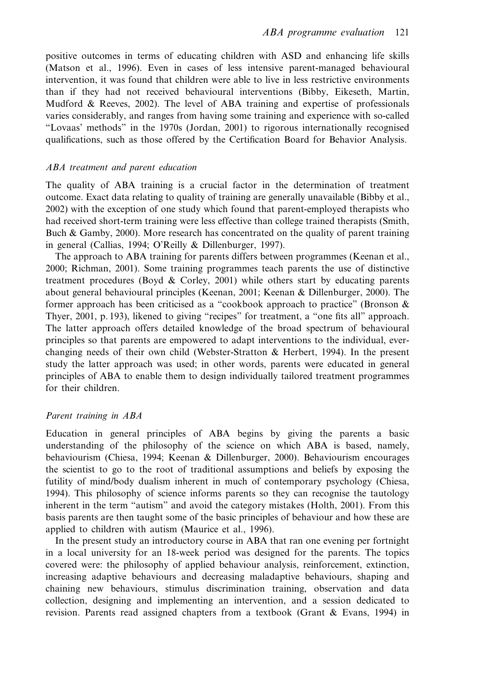positive outcomes in terms of educating children with ASD and enhancing life skills (Matson et al., 1996). Even in cases of less intensive parent-managed behavioural intervention, it was found that children were able to live in less restrictive environments than if they had not received behavioural interventions (Bibby, Eikeseth, Martin, Mudford & Reeves, 2002). The level of ABA training and expertise of professionals varies considerably, and ranges from having some training and experience with so-called ''Lovaas' methods'' in the 1970s (Jordan, 2001) to rigorous internationally recognised qualifications, such as those offered by the Certification Board for Behavior Analysis.

## ABA treatment and parent education

The quality of ABA training is a crucial factor in the determination of treatment outcome. Exact data relating to quality of training are generally unavailable (Bibby et al., 2002) with the exception of one study which found that parent-employed therapists who had received short-term training were less effective than college trained therapists (Smith, Buch & Gamby, 2000). More research has concentrated on the quality of parent training in general (Callias, 1994; O'Reilly & Dillenburger, 1997).

The approach to ABA training for parents differs between programmes (Keenan et al., 2000; Richman, 2001). Some training programmes teach parents the use of distinctive treatment procedures (Boyd & Corley, 2001) while others start by educating parents about general behavioural principles (Keenan, 2001; Keenan & Dillenburger, 2000). The former approach has been criticised as a ''cookbook approach to practice'' (Bronson & Thyer, 2001, p. 193), likened to giving ''recipes'' for treatment, a ''one fits all'' approach. The latter approach offers detailed knowledge of the broad spectrum of behavioural principles so that parents are empowered to adapt interventions to the individual, everchanging needs of their own child (Webster-Stratton & Herbert, 1994). In the present study the latter approach was used; in other words, parents were educated in general principles of ABA to enable them to design individually tailored treatment programmes for their children.

#### Parent training in ABA

Education in general principles of ABA begins by giving the parents a basic understanding of the philosophy of the science on which ABA is based, namely, behaviourism (Chiesa, 1994; Keenan & Dillenburger, 2000). Behaviourism encourages the scientist to go to the root of traditional assumptions and beliefs by exposing the futility of mind/body dualism inherent in much of contemporary psychology (Chiesa, 1994). This philosophy of science informs parents so they can recognise the tautology inherent in the term "autism" and avoid the category mistakes (Holth, 2001). From this basis parents are then taught some of the basic principles of behaviour and how these are applied to children with autism (Maurice et al., 1996).

In the present study an introductory course in ABA that ran one evening per fortnight in a local university for an 18-week period was designed for the parents. The topics covered were: the philosophy of applied behaviour analysis, reinforcement, extinction, increasing adaptive behaviours and decreasing maladaptive behaviours, shaping and chaining new behaviours, stimulus discrimination training, observation and data collection, designing and implementing an intervention, and a session dedicated to revision. Parents read assigned chapters from a textbook (Grant & Evans, 1994) in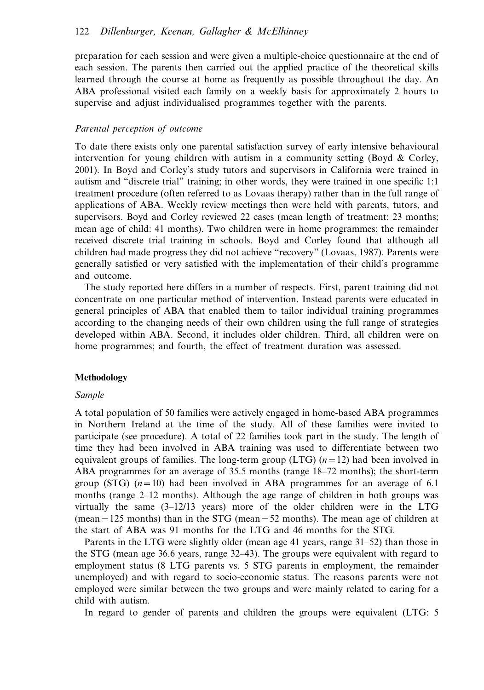preparation for each session and were given a multiple-choice questionnaire at the end of each session. The parents then carried out the applied practice of the theoretical skills learned through the course at home as frequently as possible throughout the day. An ABA professional visited each family on a weekly basis for approximately 2 hours to supervise and adjust individualised programmes together with the parents.

#### Parental perception of outcome

To date there exists only one parental satisfaction survey of early intensive behavioural intervention for young children with autism in a community setting (Boyd  $\&$  Corley, 2001). In Boyd and Corley's study tutors and supervisors in California were trained in autism and ''discrete trial'' training; in other words, they were trained in one specific 1:1 treatment procedure (often referred to as Lovaas therapy) rather than in the full range of applications of ABA. Weekly review meetings then were held with parents, tutors, and supervisors. Boyd and Corley reviewed 22 cases (mean length of treatment: 23 months; mean age of child: 41 months). Two children were in home programmes; the remainder received discrete trial training in schools. Boyd and Corley found that although all children had made progress they did not achieve ''recovery'' (Lovaas, 1987). Parents were generally satisfied or very satisfied with the implementation of their child's programme and outcome.

The study reported here differs in a number of respects. First, parent training did not concentrate on one particular method of intervention. Instead parents were educated in general principles of ABA that enabled them to tailor individual training programmes according to the changing needs of their own children using the full range of strategies developed within ABA. Second, it includes older children. Third, all children were on home programmes; and fourth, the effect of treatment duration was assessed.

#### Methodology

#### Sample

A total population of 50 families were actively engaged in home-based ABA programmes in Northern Ireland at the time of the study. All of these families were invited to participate (see procedure). A total of 22 families took part in the study. The length of time they had been involved in ABA training was used to differentiate between two equivalent groups of families. The long-term group (LTG)  $(n=12)$  had been involved in ABA programmes for an average of 35.5 months (range 18–72 months); the short-term group (STG)  $(n=10)$  had been involved in ABA programmes for an average of 6.1 months (range 2–12 months). Although the age range of children in both groups was virtually the same  $(3-12/13$  years) more of the older children were in the LTG (mean  $=125$  months) than in the STG (mean  $=52$  months). The mean age of children at the start of ABA was 91 months for the LTG and 46 months for the STG.

Parents in the LTG were slightly older (mean age 41 years, range 31–52) than those in the STG (mean age 36.6 years, range 32–43). The groups were equivalent with regard to employment status (8 LTG parents vs. 5 STG parents in employment, the remainder unemployed) and with regard to socio-economic status. The reasons parents were not employed were similar between the two groups and were mainly related to caring for a child with autism.

In regard to gender of parents and children the groups were equivalent (LTG: 5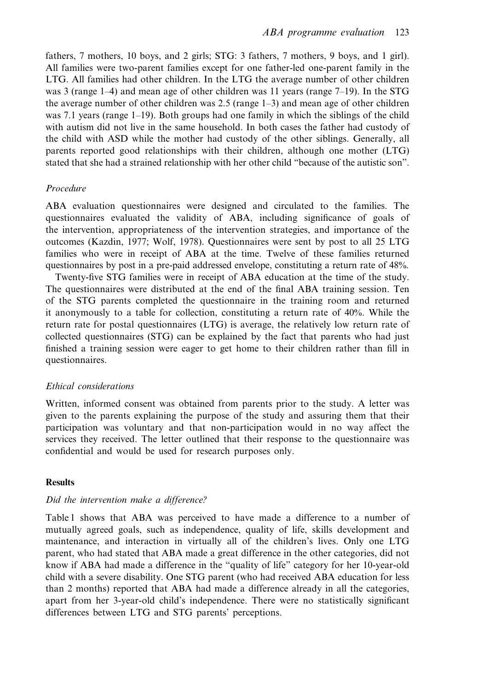fathers, 7 mothers, 10 boys, and 2 girls; STG: 3 fathers, 7 mothers, 9 boys, and 1 girl). All families were two-parent families except for one father-led one-parent family in the LTG. All families had other children. In the LTG the average number of other children was 3 (range 1–4) and mean age of other children was 11 years (range 7–19). In the STG the average number of other children was 2.5 (range 1–3) and mean age of other children was 7.1 years (range 1–19). Both groups had one family in which the siblings of the child with autism did not live in the same household. In both cases the father had custody of the child with ASD while the mother had custody of the other siblings. Generally, all parents reported good relationships with their children, although one mother (LTG) stated that she had a strained relationship with her other child ''because of the autistic son''.

# Procedure

ABA evaluation questionnaires were designed and circulated to the families. The questionnaires evaluated the validity of ABA, including significance of goals of the intervention, appropriateness of the intervention strategies, and importance of the outcomes (Kazdin, 1977; Wolf, 1978). Questionnaires were sent by post to all 25 LTG families who were in receipt of ABA at the time. Twelve of these families returned questionnaires by post in a pre-paid addressed envelope, constituting a return rate of 48%.

Twenty-five STG families were in receipt of ABA education at the time of the study. The questionnaires were distributed at the end of the final ABA training session. Ten of the STG parents completed the questionnaire in the training room and returned it anonymously to a table for collection, constituting a return rate of 40%. While the return rate for postal questionnaires (LTG) is average, the relatively low return rate of collected questionnaires (STG) can be explained by the fact that parents who had just finished a training session were eager to get home to their children rather than fill in questionnaires.

#### Ethical considerations

Written, informed consent was obtained from parents prior to the study. A letter was given to the parents explaining the purpose of the study and assuring them that their participation was voluntary and that non-participation would in no way affect the services they received. The letter outlined that their response to the questionnaire was confidential and would be used for research purposes only.

#### **Results**

#### Did the intervention make a difference?

Table 1 shows that ABA was perceived to have made a difference to a number of mutually agreed goals, such as independence, quality of life, skills development and maintenance, and interaction in virtually all of the children's lives. Only one LTG parent, who had stated that ABA made a great difference in the other categories, did not know if ABA had made a difference in the ''quality of life'' category for her 10-year-old child with a severe disability. One STG parent (who had received ABA education for less than 2 months) reported that ABA had made a difference already in all the categories, apart from her 3-year-old child's independence. There were no statistically significant differences between LTG and STG parents' perceptions.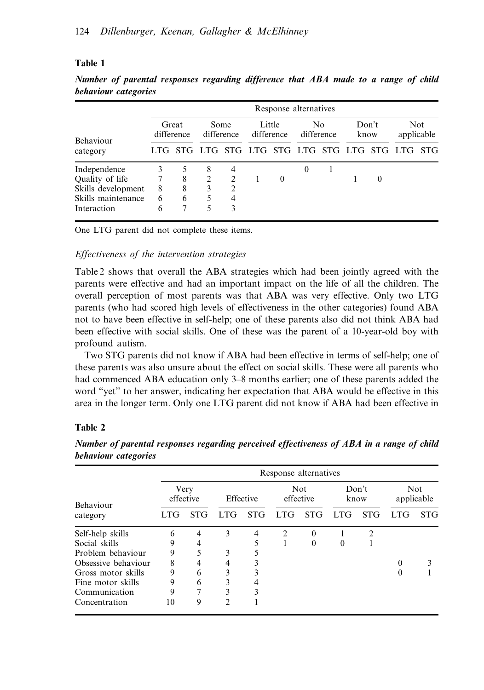|                    | Response alternatives |   |                    |                |                                         |          |                  |  |               |   |                   |            |
|--------------------|-----------------------|---|--------------------|----------------|-----------------------------------------|----------|------------------|--|---------------|---|-------------------|------------|
| <b>Behaviour</b>   | Great<br>difference   |   | Some<br>difference |                | Little<br>difference                    |          | No<br>difference |  | Don't<br>know |   | Not<br>applicable |            |
| category           | LTG -                 |   |                    |                | STG LTG STG LTG STG LTG STG LTG STG LTG |          |                  |  |               |   |                   | <b>STG</b> |
| Independence       | 3                     | 5 | 8                  | 4              |                                         |          | $\theta$         |  |               |   |                   |            |
| Quality of life    |                       | 8 | 2                  | 2              |                                         | $\theta$ |                  |  |               | 0 |                   |            |
| Skills development | 8                     | 8 | 3                  | $\overline{c}$ |                                         |          |                  |  |               |   |                   |            |
| Skills maintenance | 6                     | 6 | 5                  | 4              |                                         |          |                  |  |               |   |                   |            |
| Interaction        | 6                     | 7 | 5                  | 3              |                                         |          |                  |  |               |   |                   |            |

Number of parental responses regarding difference that ABA made to a range of child behaviour categories

One LTG parent did not complete these items.

# Effectiveness of the intervention strategies

Table 2 shows that overall the ABA strategies which had been jointly agreed with the parents were effective and had an important impact on the life of all the children. The overall perception of most parents was that ABA was very effective. Only two LTG parents (who had scored high levels of effectiveness in the other categories) found ABA not to have been effective in self-help; one of these parents also did not think ABA had been effective with social skills. One of these was the parent of a 10-year-old boy with profound autism.

Two STG parents did not know if ABA had been effective in terms of self-help; one of these parents was also unsure about the effect on social skills. These were all parents who had commenced ABA education only 3–8 months earlier; one of these parents added the word ''yet'' to her answer, indicating her expectation that ABA would be effective in this area in the longer term. Only one LTG parent did not know if ABA had been effective in

#### Table 2

|                     | Response alternatives |            |            |            |                   |            |               |               |                    |            |  |
|---------------------|-----------------------|------------|------------|------------|-------------------|------------|---------------|---------------|--------------------|------------|--|
| Behaviour           | Very<br>effective     |            | Effective  |            | Not.<br>effective |            | Don't<br>know |               | Not.<br>applicable |            |  |
| category            | LTG.                  | <b>STG</b> | <b>LTG</b> | <b>STG</b> | LTG.              | <b>STG</b> | LTG.          | <b>STG</b>    | LTG.               | <b>STG</b> |  |
| Self-help skills    | 6                     |            | 3          | 4          | $\mathcal{L}$     | $\Omega$   |               | $\mathcal{D}$ |                    |            |  |
| Social skills       | 9                     | 4          |            |            |                   | $\Omega$   | $\theta$      |               |                    |            |  |
| Problem behaviour   | 9                     | 5          | 3          |            |                   |            |               |               |                    |            |  |
| Obsessive behaviour | 8                     | 4          | 4          |            |                   |            |               |               |                    |            |  |
| Gross motor skills  | 9                     | 6          | 3          |            |                   |            |               |               | $\theta$           |            |  |
| Fine motor skills   | 9                     | 6          | 3          | 4          |                   |            |               |               |                    |            |  |
| Communication       | 9                     |            | 3          | 3          |                   |            |               |               |                    |            |  |
| Concentration       | 10                    | 9          | っ          |            |                   |            |               |               |                    |            |  |

Number of parental responses regarding perceived effectiveness of ABA in a range of child behaviour categories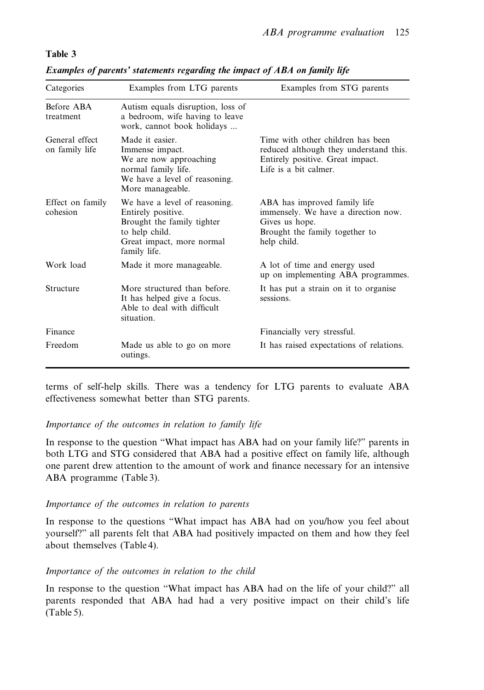| Categories                       | Examples from LTG parents                                                                                                                        | Examples from STG parents                                                                                                                |
|----------------------------------|--------------------------------------------------------------------------------------------------------------------------------------------------|------------------------------------------------------------------------------------------------------------------------------------------|
| Before ABA<br>treatment          | Autism equals disruption, loss of<br>a bedroom, wife having to leave<br>work, cannot book holidays                                               |                                                                                                                                          |
| General effect<br>on family life | Made it easier.<br>Immense impact.<br>We are now approaching<br>normal family life.<br>We have a level of reasoning.<br>More manageable.         | Time with other children has been<br>reduced although they understand this.<br>Entirely positive. Great impact.<br>Life is a bit calmer. |
| Effect on family<br>cohesion     | We have a level of reasoning.<br>Entirely positive.<br>Brought the family tighter<br>to help child.<br>Great impact, more normal<br>family life. | ABA has improved family life<br>immensely. We have a direction now.<br>Gives us hope.<br>Brought the family together to<br>help child.   |
| Work load                        | Made it more manageable.                                                                                                                         | A lot of time and energy used<br>up on implementing ABA programmes.                                                                      |
| Structure                        | More structured than before.<br>It has helped give a focus.<br>Able to deal with difficult<br>situation.                                         | It has put a strain on it to organise<br>sessions.                                                                                       |
| Finance                          |                                                                                                                                                  | Financially very stressful.                                                                                                              |
| Freedom                          | Made us able to go on more<br>outings.                                                                                                           | It has raised expectations of relations.                                                                                                 |

Examples of parents' statements regarding the impact of ABA on family life

terms of self-help skills. There was a tendency for LTG parents to evaluate ABA effectiveness somewhat better than STG parents.

# Importance of the outcomes in relation to family life

In response to the question ''What impact has ABA had on your family life?'' parents in both LTG and STG considered that ABA had a positive effect on family life, although one parent drew attention to the amount of work and finance necessary for an intensive ABA programme (Table 3).

# Importance of the outcomes in relation to parents

In response to the questions ''What impact has ABA had on you/how you feel about yourself?'' all parents felt that ABA had positively impacted on them and how they feel about themselves (Table 4).

# Importance of the outcomes in relation to the child

In response to the question ''What impact has ABA had on the life of your child?'' all parents responded that ABA had had a very positive impact on their child's life (Table 5).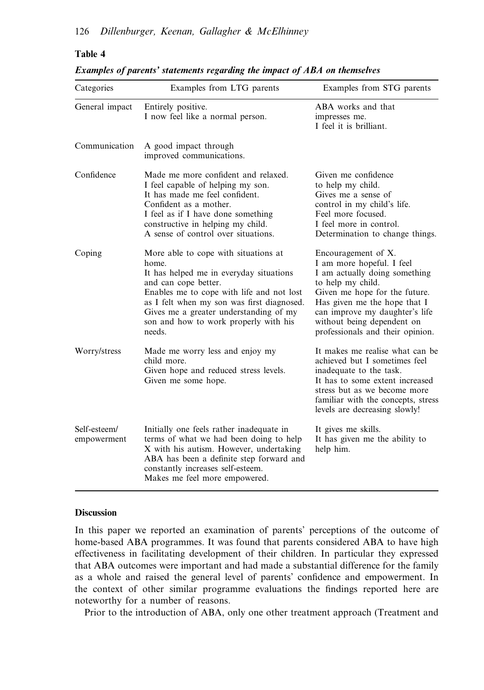| Categories                  | Examples from LTG parents                                                                                                                                                                                                                                                                                | Examples from STG parents                                                                                                                                                                                                                                                   |
|-----------------------------|----------------------------------------------------------------------------------------------------------------------------------------------------------------------------------------------------------------------------------------------------------------------------------------------------------|-----------------------------------------------------------------------------------------------------------------------------------------------------------------------------------------------------------------------------------------------------------------------------|
| General impact              | Entirely positive.<br>I now feel like a normal person.                                                                                                                                                                                                                                                   | ABA works and that<br>impresses me.<br>I feel it is brilliant.                                                                                                                                                                                                              |
| Communication               | A good impact through<br>improved communications.                                                                                                                                                                                                                                                        |                                                                                                                                                                                                                                                                             |
| Confidence                  | Made me more confident and relaxed.<br>I feel capable of helping my son.<br>It has made me feel confident.<br>Confident as a mother.<br>I feel as if I have done something<br>constructive in helping my child.<br>A sense of control over situations.                                                   | Given me confidence<br>to help my child.<br>Gives me a sense of<br>control in my child's life.<br>Feel more focused.<br>I feel more in control.<br>Determination to change things.                                                                                          |
| Coping                      | More able to cope with situations at<br>home.<br>It has helped me in everyday situations<br>and can cope better.<br>Enables me to cope with life and not lost<br>as I felt when my son was first diagnosed.<br>Gives me a greater understanding of my<br>son and how to work properly with his<br>needs. | Encouragement of X.<br>I am more hopeful. I feel<br>I am actually doing something<br>to help my child.<br>Given me hope for the future.<br>Has given me the hope that I<br>can improve my daughter's life<br>without being dependent on<br>professionals and their opinion. |
| Worry/stress                | Made me worry less and enjoy my<br>child more.<br>Given hope and reduced stress levels.<br>Given me some hope.                                                                                                                                                                                           | It makes me realise what can be<br>achieved but I sometimes feel<br>inadequate to the task.<br>It has to some extent increased<br>stress but as we become more<br>familiar with the concepts, stress<br>levels are decreasing slowly!                                       |
| Self-esteem/<br>empowerment | Initially one feels rather inadequate in<br>terms of what we had been doing to help<br>X with his autism. However, undertaking<br>ABA has been a definite step forward and<br>constantly increases self-esteem.<br>Makes me feel more empowered.                                                         | It gives me skills.<br>It has given me the ability to<br>help him.                                                                                                                                                                                                          |

Examples of parents' statements regarding the impact of ABA on themselves

#### **Discussion**

In this paper we reported an examination of parents' perceptions of the outcome of home-based ABA programmes. It was found that parents considered ABA to have high effectiveness in facilitating development of their children. In particular they expressed that ABA outcomes were important and had made a substantial difference for the family as a whole and raised the general level of parents' confidence and empowerment. In the context of other similar programme evaluations the findings reported here are noteworthy for a number of reasons.

Prior to the introduction of ABA, only one other treatment approach (Treatment and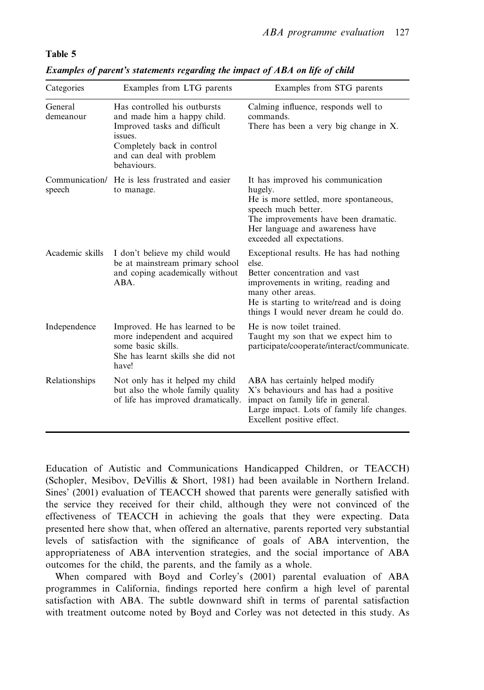| Categories           | Examples from LTG parents                                                                                                                                                        | Examples from STG parents                                                                                                                                                                                                              |
|----------------------|----------------------------------------------------------------------------------------------------------------------------------------------------------------------------------|----------------------------------------------------------------------------------------------------------------------------------------------------------------------------------------------------------------------------------------|
| General<br>demeanour | Has controlled his outbursts<br>and made him a happy child.<br>Improved tasks and difficult<br>issues.<br>Completely back in control<br>and can deal with problem<br>behaviours. | Calming influence, responds well to<br>commands.<br>There has been a very big change in X.                                                                                                                                             |
| speech               | Communication/ He is less frustrated and easier<br>to manage.                                                                                                                    | It has improved his communication<br>hugely.<br>He is more settled, more spontaneous,<br>speech much better.<br>The improvements have been dramatic.<br>Her language and awareness have<br>exceeded all expectations.                  |
| Academic skills      | I don't believe my child would<br>be at mainstream primary school<br>and coping academically without<br>ABA.                                                                     | Exceptional results. He has had nothing<br>else.<br>Better concentration and vast<br>improvements in writing, reading and<br>many other areas.<br>He is starting to write/read and is doing<br>things I would never dream he could do. |
| Independence         | Improved. He has learned to be<br>more independent and acquired<br>some basic skills.<br>She has learnt skills she did not<br>have!                                              | He is now toilet trained.<br>Taught my son that we expect him to<br>participate/cooperate/interact/communicate.                                                                                                                        |
| Relationships        | Not only has it helped my child<br>but also the whole family quality<br>of life has improved dramatically.                                                                       | ABA has certainly helped modify<br>X's behaviours and has had a positive<br>impact on family life in general.<br>Large impact. Lots of family life changes.<br>Excellent positive effect.                                              |

Examples of parent's statements regarding the impact of ABA on life of child

Education of Autistic and Communications Handicapped Children, or TEACCH) (Schopler, Mesibov, DeVillis & Short, 1981) had been available in Northern Ireland. Sines' (2001) evaluation of TEACCH showed that parents were generally satisfied with the service they received for their child, although they were not convinced of the effectiveness of TEACCH in achieving the goals that they were expecting. Data presented here show that, when offered an alternative, parents reported very substantial levels of satisfaction with the significance of goals of ABA intervention, the appropriateness of ABA intervention strategies, and the social importance of ABA outcomes for the child, the parents, and the family as a whole.

When compared with Boyd and Corley's (2001) parental evaluation of ABA programmes in California, findings reported here confirm a high level of parental satisfaction with ABA. The subtle downward shift in terms of parental satisfaction with treatment outcome noted by Boyd and Corley was not detected in this study. As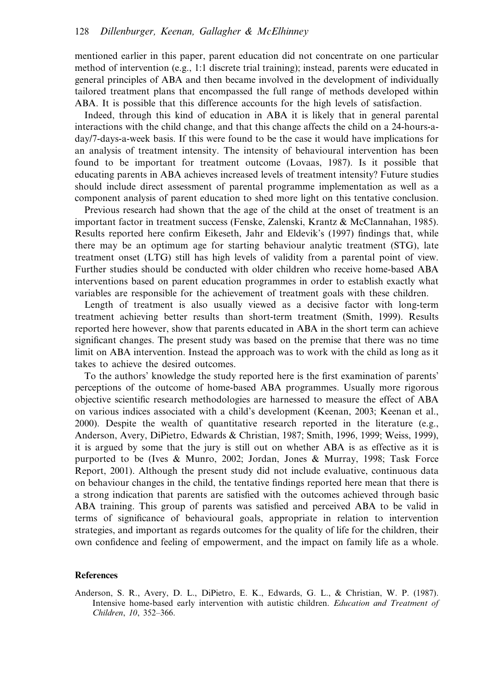mentioned earlier in this paper, parent education did not concentrate on one particular method of intervention (e.g., 1:1 discrete trial training); instead, parents were educated in general principles of ABA and then became involved in the development of individually tailored treatment plans that encompassed the full range of methods developed within ABA. It is possible that this difference accounts for the high levels of satisfaction.

Indeed, through this kind of education in ABA it is likely that in general parental interactions with the child change, and that this change affects the child on a 24-hours-aday/7-days-a-week basis. If this were found to be the case it would have implications for an analysis of treatment intensity. The intensity of behavioural intervention has been found to be important for treatment outcome (Lovaas, 1987). Is it possible that educating parents in ABA achieves increased levels of treatment intensity? Future studies should include direct assessment of parental programme implementation as well as a component analysis of parent education to shed more light on this tentative conclusion.

Previous research had shown that the age of the child at the onset of treatment is an important factor in treatment success (Fenske, Zalenski, Krantz & McClannahan, 1985). Results reported here confirm Eikeseth, Jahr and Eldevik's (1997) findings that, while there may be an optimum age for starting behaviour analytic treatment (STG), late treatment onset (LTG) still has high levels of validity from a parental point of view. Further studies should be conducted with older children who receive home-based ABA interventions based on parent education programmes in order to establish exactly what variables are responsible for the achievement of treatment goals with these children.

Length of treatment is also usually viewed as a decisive factor with long-term treatment achieving better results than short-term treatment (Smith, 1999). Results reported here however, show that parents educated in ABA in the short term can achieve significant changes. The present study was based on the premise that there was no time limit on ABA intervention. Instead the approach was to work with the child as long as it takes to achieve the desired outcomes.

To the authors' knowledge the study reported here is the first examination of parents' perceptions of the outcome of home-based ABA programmes. Usually more rigorous objective scientific research methodologies are harnessed to measure the effect of ABA on various indices associated with a child's development (Keenan, 2003; Keenan et al., 2000). Despite the wealth of quantitative research reported in the literature (e.g., Anderson, Avery, DiPietro, Edwards & Christian, 1987; Smith, 1996, 1999; Weiss, 1999), it is argued by some that the jury is still out on whether ABA is as effective as it is purported to be (Ives & Munro, 2002; Jordan, Jones & Murray, 1998; Task Force Report, 2001). Although the present study did not include evaluative, continuous data on behaviour changes in the child, the tentative findings reported here mean that there is a strong indication that parents are satisfied with the outcomes achieved through basic ABA training. This group of parents was satisfied and perceived ABA to be valid in terms of significance of behavioural goals, appropriate in relation to intervention strategies, and important as regards outcomes for the quality of life for the children, their own confidence and feeling of empowerment, and the impact on family life as a whole.

#### References

Anderson, S. R., Avery, D. L., DiPietro, E. K., Edwards, G. L., & Christian, W. P. (1987). Intensive home-based early intervention with autistic children. Education and Treatment of Children, 10, 352–366.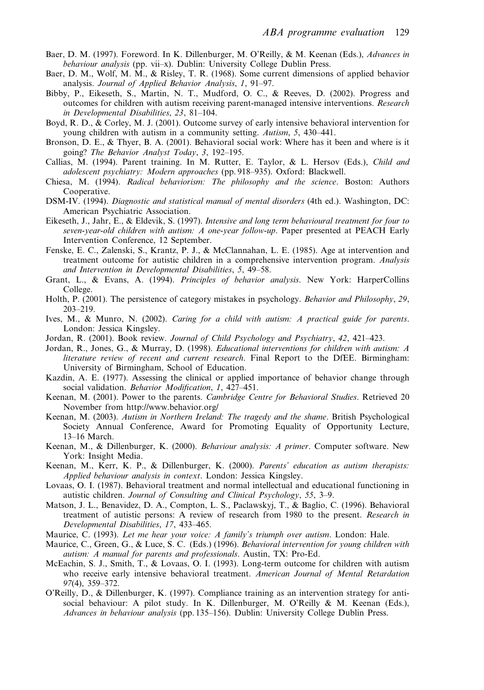- Baer, D. M. (1997). Foreword. In K. Dillenburger, M. O'Reilly, & M. Keenan (Eds.), Advances in behaviour analysis (pp. vii–x). Dublin: University College Dublin Press.
- Baer, D. M., Wolf, M. M., & Risley, T. R. (1968). Some current dimensions of applied behavior analysis. Journal of Applied Behavior Analysis, 1, 91–97.
- Bibby, P., Eikeseth, S., Martin, N. T., Mudford, O. C., & Reeves, D. (2002). Progress and outcomes for children with autism receiving parent-managed intensive interventions. Research in Developmental Disabilities, 23, 81–104.
- Boyd, R. D., & Corley, M. J. (2001). Outcome survey of early intensive behavioral intervention for young children with autism in a community setting. Autism, 5, 430–441.
- Bronson, D. E., & Thyer, B. A. (2001). Behavioral social work: Where has it been and where is it going? The Behavior Analyst Today, 3, 192–195.
- Callias, M. (1994). Parent training. In M. Rutter, E. Taylor, & L. Hersov (Eds.), Child and adolescent psychiatry: Modern approaches (pp. 918–935). Oxford: Blackwell.
- Chiesa, M. (1994). Radical behaviorism: The philosophy and the science. Boston: Authors Cooperative.
- DSM-IV. (1994). Diagnostic and statistical manual of mental disorders (4th ed.). Washington, DC: American Psychiatric Association.
- Eikeseth, J., Jahr, E., & Eldevik, S. (1997). Intensive and long term behavioural treatment for four to seven-year-old children with autism: A one-year follow-up. Paper presented at PEACH Early Intervention Conference, 12 September.
- Fenske, E. C., Zalenski, S., Krantz, P. J., & McClannahan, L. E. (1985). Age at intervention and treatment outcome for autistic children in a comprehensive intervention program. Analysis and Intervention in Developmental Disabilities, 5, 49–58.
- Grant, L., & Evans, A. (1994). Principles of behavior analysis. New York: HarperCollins College.
- Holth, P. (2001). The persistence of category mistakes in psychology. Behavior and Philosophy, 29, 203–219.
- Ives, M., & Munro, N. (2002). Caring for a child with autism: A practical guide for parents. London: Jessica Kingsley.
- Jordan, R. (2001). Book review. Journal of Child Psychology and Psychiatry, 42, 421–423.
- Jordan, R., Jones, G., & Murray, D. (1998). Educational interventions for children with autism: A literature review of recent and current research. Final Report to the DfEE. Birmingham: University of Birmingham, School of Education.
- Kazdin, A. E. (1977). Assessing the clinical or applied importance of behavior change through social validation. Behavior Modification, 1, 427-451.
- Keenan, M. (2001). Power to the parents. Cambridge Centre for Behavioral Studies. Retrieved 20 November from http://www.behavior.org/
- Keenan, M. (2003). Autism in Northern Ireland: The tragedy and the shame. British Psychological Society Annual Conference, Award for Promoting Equality of Opportunity Lecture, 13–16 March.
- Keenan, M., & Dillenburger, K. (2000). Behaviour analysis: A primer. Computer software. New York: Insight Media.
- Keenan, M., Kerr, K. P., & Dillenburger, K. (2000). Parents' education as autism therapists: Applied behaviour analysis in context. London: Jessica Kingsley.
- Lovaas, O. I. (1987). Behavioral treatment and normal intellectual and educational functioning in autistic children. Journal of Consulting and Clinical Psychology, 55, 3–9.
- Matson, J. L., Benavidez, D. A., Compton, L. S., Paclawskyj, T., & Baglio, C. (1996). Behavioral treatment of autistic persons: A review of research from 1980 to the present. Research in Developmental Disabilities, 17, 433–465.
- Maurice, C. (1993). Let me hear your voice: A family's triumph over autism. London: Hale.
- Maurice, C., Green, G., & Luce, S. C. (Eds.) (1996). Behavioral intervention for young children with autism: A manual for parents and professionals. Austin, TX: Pro-Ed.
- McEachin, S. J., Smith, T., & Lovaas, O. I. (1993). Long-term outcome for children with autism who receive early intensive behavioral treatment. American Journal of Mental Retardation 97(4), 359–372.
- O'Reilly, D., & Dillenburger, K. (1997). Compliance training as an intervention strategy for antisocial behaviour: A pilot study. In K. Dillenburger, M. O'Reilly & M. Keenan (Eds.), Advances in behaviour analysis (pp. 135–156). Dublin: University College Dublin Press.